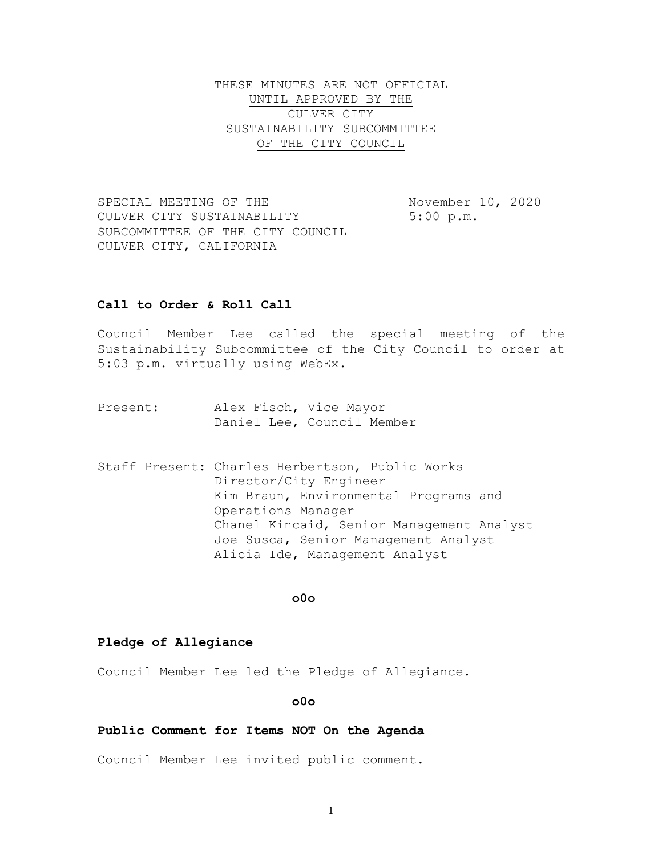THESE MINUTES ARE NOT OFFICIAL UNTIL APPROVED BY THE CULVER CITY SUSTAINABILITY SUBCOMMITTEE OF THE CITY COUNCIL

SPECIAL MEETING OF THE November 10, 2020 CULVER CITY SUSTAINABILITY 5:00 p.m. SUBCOMMITTEE OF THE CITY COUNCIL CULVER CITY, CALIFORNIA

# **Call to Order & Roll Call**

Council Member Lee called the special meeting of the Sustainability Subcommittee of the City Council to order at 5:03 p.m. virtually using WebEx.

- Present: Alex Fisch, Vice Mayor Daniel Lee, Council Member
- Staff Present: Charles Herbertson, Public Works Director/City Engineer Kim Braun, Environmental Programs and Operations Manager Chanel Kincaid, Senior Management Analyst Joe Susca, Senior Management Analyst Alicia Ide, Management Analyst

#### **o0o**

## **Pledge of Allegiance**

Council Member Lee led the Pledge of Allegiance.

#### **o0o**

#### **Public Comment for Items NOT On the Agenda**

Council Member Lee invited public comment.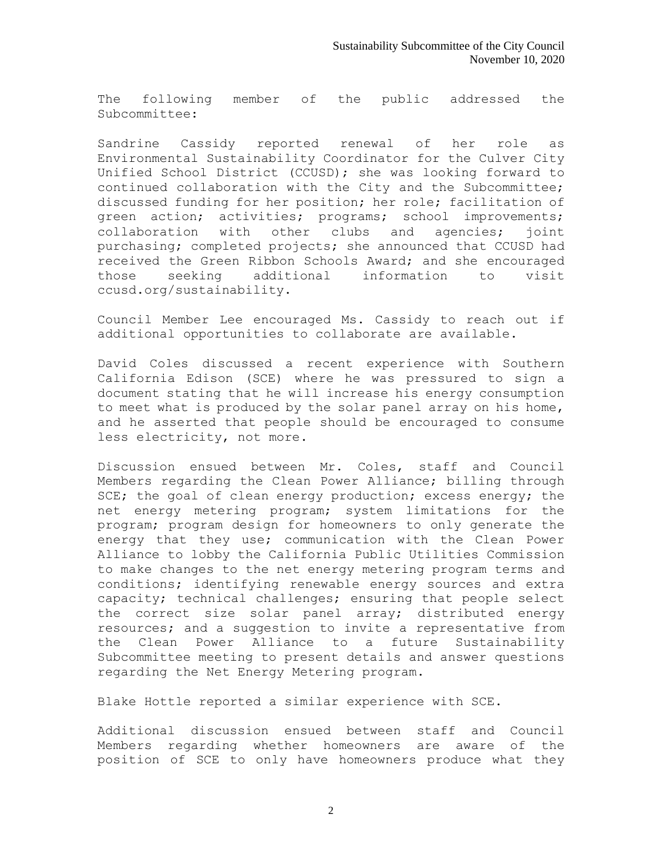The following member of the public addressed the Subcommittee:

Sandrine Cassidy reported renewal of her role as Environmental Sustainability Coordinator for the Culver City Unified School District (CCUSD); she was looking forward to continued collaboration with the City and the Subcommittee; discussed funding for her position; her role; facilitation of green action; activities; programs; school improvements; collaboration with other clubs and agencies; joint purchasing; completed projects; she announced that CCUSD had received the Green Ribbon Schools Award; and she encouraged those seeking additional information to visit ccusd.org/sustainability.

Council Member Lee encouraged Ms. Cassidy to reach out if additional opportunities to collaborate are available.

David Coles discussed a recent experience with Southern California Edison (SCE) where he was pressured to sign a document stating that he will increase his energy consumption to meet what is produced by the solar panel array on his home, and he asserted that people should be encouraged to consume less electricity, not more.

Discussion ensued between Mr. Coles, staff and Council Members regarding the Clean Power Alliance; billing through SCE; the goal of clean energy production; excess energy; the net energy metering program; system limitations for the program; program design for homeowners to only generate the energy that they use; communication with the Clean Power Alliance to lobby the California Public Utilities Commission to make changes to the net energy metering program terms and conditions; identifying renewable energy sources and extra capacity; technical challenges; ensuring that people select the correct size solar panel array; distributed energy resources; and a suggestion to invite a representative from the Clean Power Alliance to a future Sustainability Subcommittee meeting to present details and answer questions regarding the Net Energy Metering program.

Blake Hottle reported a similar experience with SCE.

Additional discussion ensued between staff and Council Members regarding whether homeowners are aware of the position of SCE to only have homeowners produce what they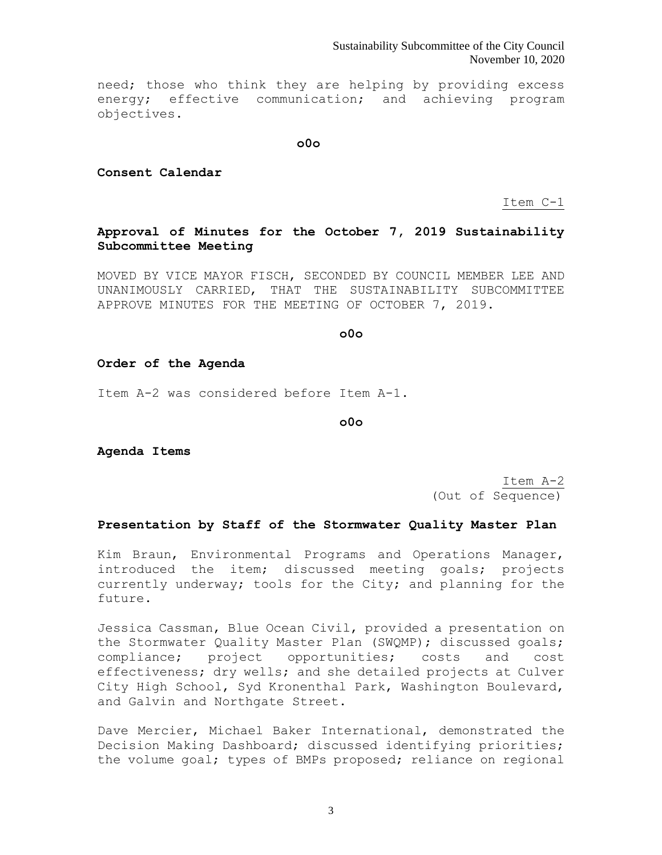Sustainability Subcommittee of the City Council November 10, 2020

need; those who think they are helping by providing excess energy; effective communication; and achieving program objectives.

**o0o**

**Consent Calendar**

Item C-1

# **Approval of Minutes for the October 7, 2019 Sustainability Subcommittee Meeting**

MOVED BY VICE MAYOR FISCH, SECONDED BY COUNCIL MEMBER LEE AND UNANIMOUSLY CARRIED, THAT THE SUSTAINABILITY SUBCOMMITTEE APPROVE MINUTES FOR THE MEETING OF OCTOBER 7, 2019.

**o0o**

## **Order of the Agenda**

Item A-2 was considered before Item A-1.

**o0o**

**Agenda Items**

Item A-2 (Out of Sequence)

## **Presentation by Staff of the Stormwater Quality Master Plan**

Kim Braun, Environmental Programs and Operations Manager, introduced the item; discussed meeting goals; projects currently underway; tools for the City; and planning for the future.

Jessica Cassman, Blue Ocean Civil, provided a presentation on the Stormwater Quality Master Plan (SWQMP); discussed goals; compliance; project opportunities; costs and cost effectiveness; dry wells; and she detailed projects at Culver City High School, Syd Kronenthal Park, Washington Boulevard, and Galvin and Northgate Street.

Dave Mercier, Michael Baker International, demonstrated the Decision Making Dashboard; discussed identifying priorities; the volume goal; types of BMPs proposed; reliance on regional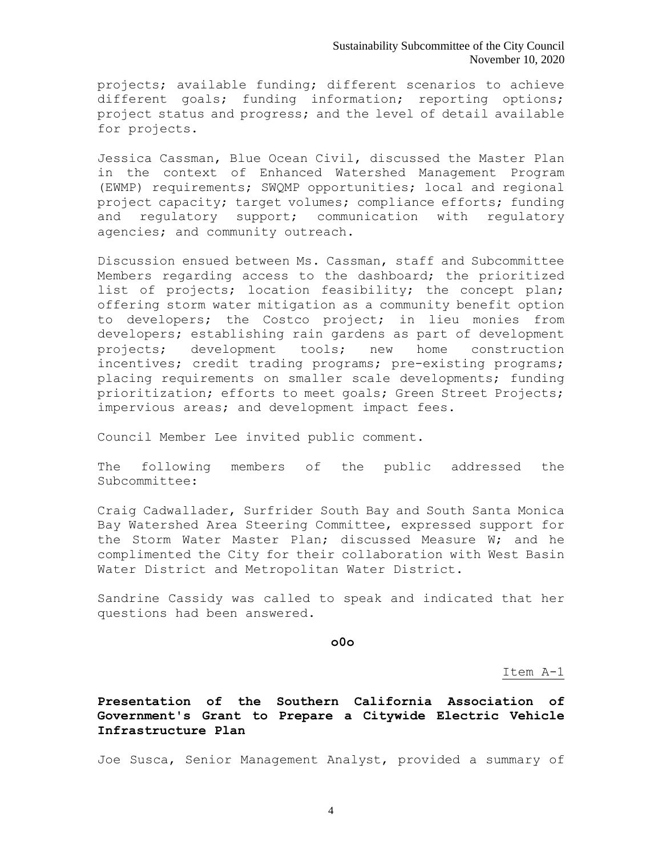projects; available funding; different scenarios to achieve different goals; funding information; reporting options; project status and progress; and the level of detail available for projects.

Jessica Cassman, Blue Ocean Civil, discussed the Master Plan in the context of Enhanced Watershed Management Program (EWMP) requirements; SWQMP opportunities; local and regional project capacity; target volumes; compliance efforts; funding and regulatory support; communication with regulatory agencies; and community outreach.

Discussion ensued between Ms. Cassman, staff and Subcommittee Members regarding access to the dashboard; the prioritized list of projects; location feasibility; the concept plan; offering storm water mitigation as a community benefit option to developers; the Costco project; in lieu monies from developers; establishing rain gardens as part of development projects; development tools; new home construction incentives; credit trading programs; pre-existing programs; placing requirements on smaller scale developments; funding prioritization; efforts to meet goals; Green Street Projects; impervious areas; and development impact fees.

Council Member Lee invited public comment.

The following members of the public addressed the Subcommittee:

Craig Cadwallader, Surfrider South Bay and South Santa Monica Bay Watershed Area Steering Committee, expressed support for the Storm Water Master Plan; discussed Measure W; and he complimented the City for their collaboration with West Basin Water District and Metropolitan Water District.

Sandrine Cassidy was called to speak and indicated that her questions had been answered.

**o0o**

Item A-1

**Presentation of the Southern California Association of Government's Grant to Prepare a Citywide Electric Vehicle Infrastructure Plan**

Joe Susca, Senior Management Analyst, provided a summary of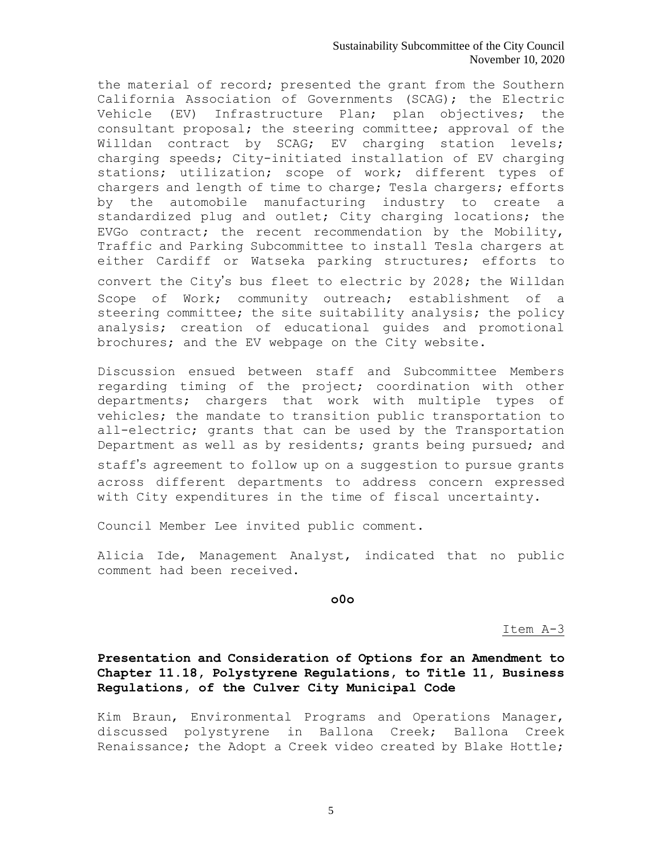### Sustainability Subcommittee of the City Council November 10, 2020

the material of record; presented the grant from the Southern California Association of Governments (SCAG); the Electric Vehicle (EV) Infrastructure Plan; plan objectives; the consultant proposal; the steering committee; approval of the Willdan contract by SCAG; EV charging station levels; charging speeds; City-initiated installation of EV charging stations; utilization; scope of work; different types of chargers and length of time to charge; Tesla chargers; efforts by the automobile manufacturing industry to create a standardized plug and outlet; City charging locations; the EVGo contract; the recent recommendation by the Mobility, Traffic and Parking Subcommittee to install Tesla chargers at either Cardiff or Watseka parking structures; efforts to convert the City's bus fleet to electric by 2028; the Willdan Scope of Work; community outreach; establishment of a steering committee; the site suitability analysis; the policy analysis; creation of educational guides and promotional brochures; and the EV webpage on the City website.

Discussion ensued between staff and Subcommittee Members regarding timing of the project; coordination with other departments; chargers that work with multiple types of vehicles; the mandate to transition public transportation to all-electric; grants that can be used by the Transportation Department as well as by residents; grants being pursued; and

staff's agreement to follow up on a suggestion to pursue grants across different departments to address concern expressed with City expenditures in the time of fiscal uncertainty.

Council Member Lee invited public comment.

Alicia Ide, Management Analyst, indicated that no public comment had been received.

**o0o**

Item A-3

**Presentation and Consideration of Options for an Amendment to Chapter 11.18, Polystyrene Regulations, to Title 11, Business Regulations, of the Culver City Municipal Code**

Kim Braun, Environmental Programs and Operations Manager, discussed polystyrene in Ballona Creek; Ballona Creek Renaissance; the Adopt a Creek video created by Blake Hottle;

5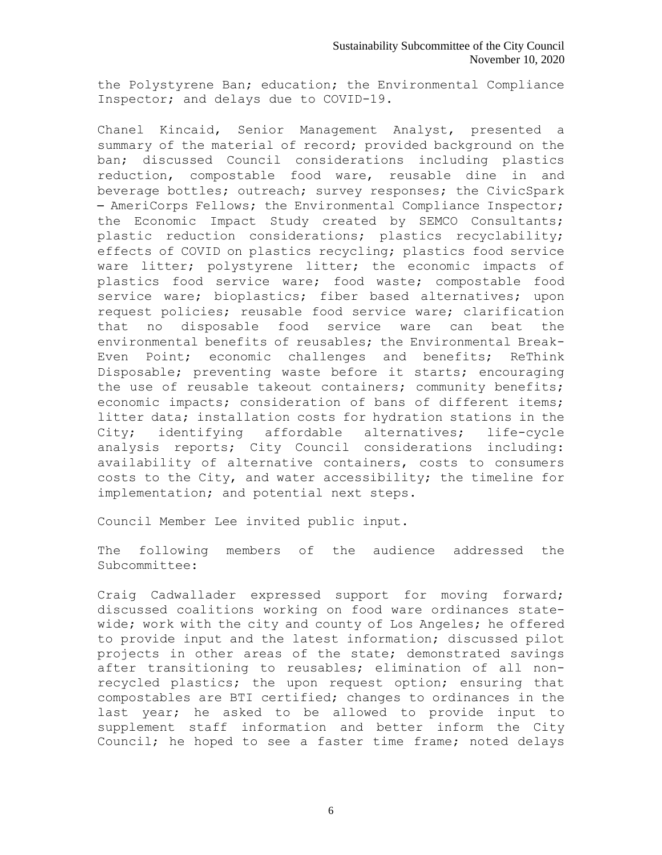the Polystyrene Ban; education; the Environmental Compliance Inspector; and delays due to COVID-19.

Chanel Kincaid, Senior Management Analyst, presented a summary of the material of record; provided background on the ban; discussed Council considerations including plastics reduction, compostable food ware, reusable dine in and beverage bottles; outreach; survey responses; the CivicSpark – AmeriCorps Fellows; the Environmental Compliance Inspector; the Economic Impact Study created by SEMCO Consultants; plastic reduction considerations; plastics recyclability; effects of COVID on plastics recycling; plastics food service ware litter; polystyrene litter; the economic impacts of plastics food service ware; food waste; compostable food service ware; bioplastics; fiber based alternatives; upon request policies; reusable food service ware; clarification that no disposable food service ware can beat the environmental benefits of reusables; the Environmental Break-Even Point; economic challenges and benefits; ReThink Disposable; preventing waste before it starts; encouraging the use of reusable takeout containers; community benefits; economic impacts; consideration of bans of different items; litter data; installation costs for hydration stations in the City; identifying affordable alternatives; life-cycle analysis reports; City Council considerations including: availability of alternative containers, costs to consumers costs to the City, and water accessibility; the timeline for implementation; and potential next steps.

Council Member Lee invited public input.

The following members of the audience addressed the Subcommittee:

Craig Cadwallader expressed support for moving forward; discussed coalitions working on food ware ordinances statewide; work with the city and county of Los Angeles; he offered to provide input and the latest information; discussed pilot projects in other areas of the state; demonstrated savings after transitioning to reusables; elimination of all nonrecycled plastics; the upon request option; ensuring that compostables are BTI certified; changes to ordinances in the last year; he asked to be allowed to provide input to supplement staff information and better inform the City Council; he hoped to see a faster time frame; noted delays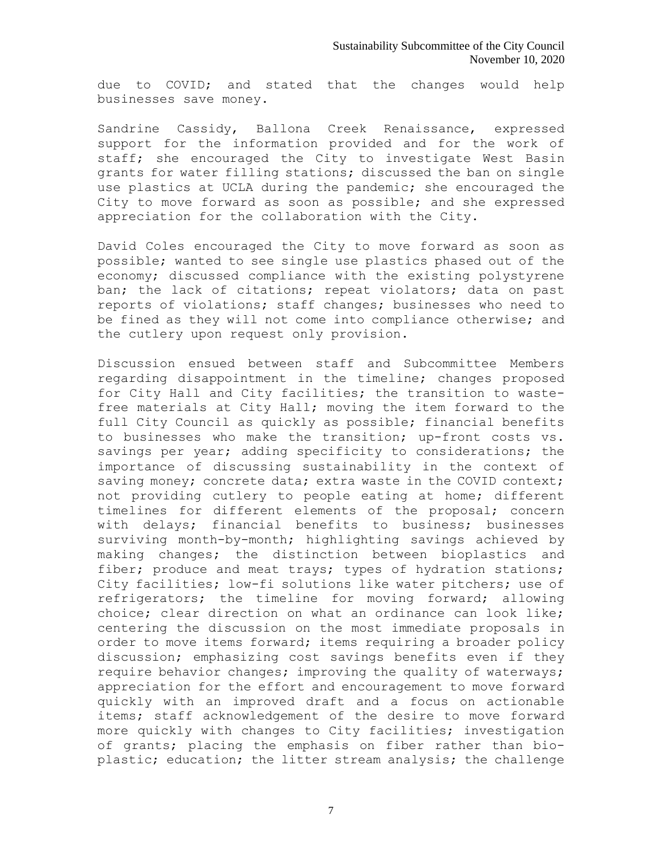due to COVID; and stated that the changes would help businesses save money.

Sandrine Cassidy, Ballona Creek Renaissance, expressed support for the information provided and for the work of staff; she encouraged the City to investigate West Basin grants for water filling stations; discussed the ban on single use plastics at UCLA during the pandemic; she encouraged the City to move forward as soon as possible; and she expressed appreciation for the collaboration with the City.

David Coles encouraged the City to move forward as soon as possible; wanted to see single use plastics phased out of the economy; discussed compliance with the existing polystyrene ban; the lack of citations; repeat violators; data on past reports of violations; staff changes; businesses who need to be fined as they will not come into compliance otherwise; and the cutlery upon request only provision.

Discussion ensued between staff and Subcommittee Members regarding disappointment in the timeline; changes proposed for City Hall and City facilities; the transition to wastefree materials at City Hall; moving the item forward to the full City Council as quickly as possible; financial benefits to businesses who make the transition; up-front costs vs. savings per year; adding specificity to considerations; the importance of discussing sustainability in the context of saving money; concrete data; extra waste in the COVID context; not providing cutlery to people eating at home; different timelines for different elements of the proposal; concern with delays; financial benefits to business; businesses surviving month-by-month; highlighting savings achieved by making changes; the distinction between bioplastics and fiber; produce and meat trays; types of hydration stations; City facilities; low-fi solutions like water pitchers; use of refrigerators; the timeline for moving forward; allowing choice; clear direction on what an ordinance can look like; centering the discussion on the most immediate proposals in order to move items forward; items requiring a broader policy discussion; emphasizing cost savings benefits even if they require behavior changes; improving the quality of waterways; appreciation for the effort and encouragement to move forward quickly with an improved draft and a focus on actionable items; staff acknowledgement of the desire to move forward more quickly with changes to City facilities; investigation of grants; placing the emphasis on fiber rather than bioplastic; education; the litter stream analysis; the challenge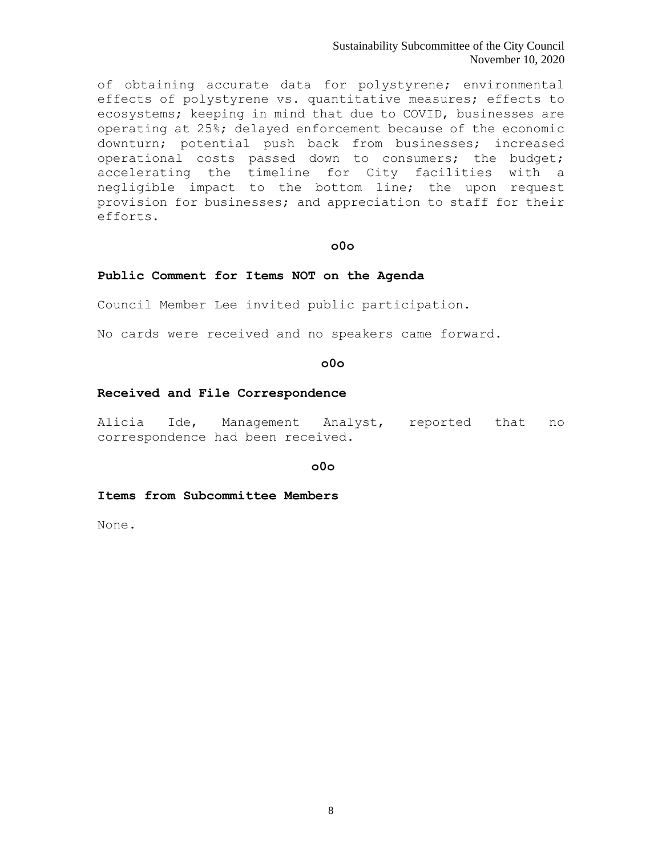Sustainability Subcommittee of the City Council November 10, 2020

of obtaining accurate data for polystyrene; environmental effects of polystyrene vs. quantitative measures; effects to ecosystems; keeping in mind that due to COVID, businesses are operating at 25%; delayed enforcement because of the economic downturn; potential push back from businesses; increased operational costs passed down to consumers; the budget; accelerating the timeline for City facilities with a negligible impact to the bottom line; the upon request provision for businesses; and appreciation to staff for their efforts.

# **o0o**

### **Public Comment for Items NOT on the Agenda**

Council Member Lee invited public participation.

No cards were received and no speakers came forward.

## **o0o**

#### **Received and File Correspondence**

Alicia Ide, Management Analyst, reported that no correspondence had been received.

**o0o**

### **Items from Subcommittee Members**

None.